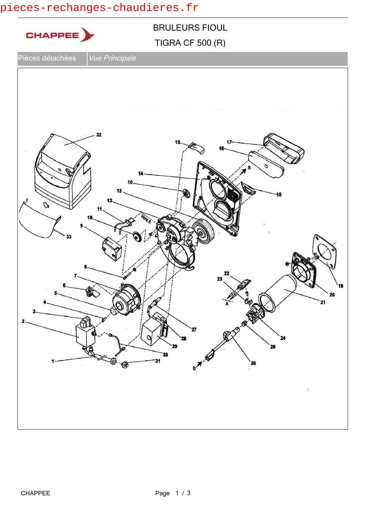## pieces-rechanges-chaudieres.fr

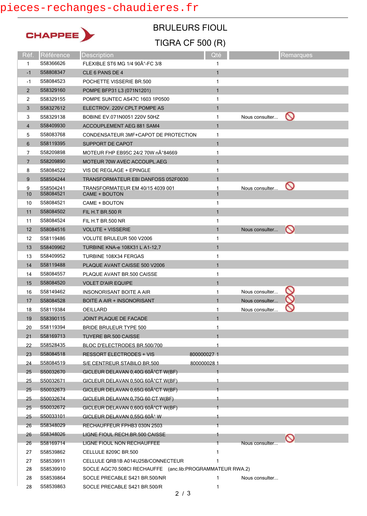## pieces-rechanges-chaudieres.fr



BRULEURS FIOUL

TIGRA CF 500 (R)

| Réf.           | Référence              | Description                                               | Qté               |                | Remarques |  |
|----------------|------------------------|-----------------------------------------------------------|-------------------|----------------|-----------|--|
| $\mathbf{1}$   | S58366626              | FLEXIBLE ST6 MG 1/4 90°-FC 3/8                            | 1                 |                |           |  |
| $-1$           | S58808347              | CLE 6 PANS DE 4                                           | $\mathbf{1}$      |                |           |  |
| $-1$           | S58084523              | POCHETTE VISSERIE BR.500                                  | 1                 |                |           |  |
| $\overline{2}$ | S58329160              | POMPE BFP31 L3 (071N1201)                                 | $\mathbf{1}$      |                |           |  |
| $\overline{2}$ | S58329155              | POMPE SUNTEC AS47C 1603 1P0500                            | 1                 |                |           |  |
| 3              | S58327612              | ELECTROV. 220V CPLT POMPE AS                              | $\mathbf{1}$      |                |           |  |
| 3              | S58329138              | BOBINE EV.071N0051 220V 50HZ                              | 1                 | Nous consulter | $\circ$   |  |
| 4              | S58409930              | ACCOUPLEMENT AEG 881 SAM4                                 | $\mathbf{1}$      |                |           |  |
| 5              | S58083768              | CONDENSATEUR 3MF+CAPOT DE PROTECTION                      | 1                 |                |           |  |
| 6              | S58119395              | SUPPORT DE CAPOT                                          | $\mathbf{1}$      |                |           |  |
| 7              | S58209898              | MOTEUR FHP EB95C 24/2 70W n°84669                         | 1                 |                |           |  |
| $\overline{7}$ | S58209890              | MOTEUR 70W AVEC ACCOUPL.AEG                               | $\mathbf{1}$      |                |           |  |
| 8              | S58084522              | VIS DE REGLAGE + EPINGLE                                  | 1                 |                |           |  |
| 9              | S58504244              | TRANSFORMATEUR EBI DANFOSS 052F0030                       | $\mathbf{1}$      |                |           |  |
| 9<br>10        | S58504241<br>S58084521 | TRANSFORMATEUR EM 40/15 4039 001<br>CAME + BOUTON         | 1<br>$\mathbf{1}$ | Nous consulter | $\circ$   |  |
| 10             | S58084521              | CAME + BOUTON                                             | 1                 |                |           |  |
| 11             | S58084502              | FIL H.T BR.500 R                                          | $\mathbf{1}$      |                |           |  |
| 11             | S58084524              | FIL H.T BR.500 NR                                         | 1                 |                |           |  |
| 12             | S58084516              | <b>VOLUTE + VISSERIE</b>                                  | $\mathbf{1}$      | Nous consulter |           |  |
| 12             | S58119486              | VOLUTE BRULEUR 500 V2006                                  | 1                 |                |           |  |
| 13             | S58409962              | <b>TURBINE KNA-e 108X31 L A1-12,7</b>                     | $\mathbf{1}$      |                |           |  |
| 13             | S58409952              | TURBINE 108X34 FERGAS                                     | 1                 |                |           |  |
| 14             | S58119488              | PLAQUE AVANT CAISSE 500 V2006                             | $\mathbf{1}$      |                |           |  |
| 14             | S58084557              | PLAQUE AVANT BR.500 CAISSE                                | 1                 |                |           |  |
| 15             | S58084520              | <b>VOLET D'AIR EQUIPE</b>                                 | $\mathbf{1}$      |                |           |  |
| 16             | S58149462              | <b>INSONORISANT BOITE A AIR</b>                           | 1                 | Nous consulter |           |  |
| 17             | S58084528              | <b>BOITE A AIR + INSONORISANT</b>                         | $\mathbf{1}$      | Nous consulter |           |  |
| 18             | S58119384              | <b>OEILLARD</b>                                           | 1                 | Nous consulter |           |  |
| 19             | S58390115              | JOINT PLAQUE DE FACADE                                    | $\mathbf{1}$      |                |           |  |
| 20             | S58119394              | <b>BRIDE BRULEUR TYPE 500</b>                             |                   |                |           |  |
| 21             | S58169713              | <b>TUYERE BR.500 CAISSE</b>                               |                   |                |           |  |
| 22             | S58528435              | BLOC D'ELECTRODES BR.500/700                              | 1                 |                |           |  |
| 23             | S58084518              | <b>RESSORT ELECTRODES + VIS</b>                           | 800000027 1       |                |           |  |
| 24             | S58084519              | S/E CENTREUR STABILO BR.500                               | 800000028 1       |                |           |  |
| 25             | S50032670              | GICLEUR DELAVAN 0,40G 60°CT W(BF)                         |                   |                |           |  |
| 25             | S50032671              | GICLEUR DELAVAN 0,50G 60°CT W(BF)                         | 1                 |                |           |  |
| $25 -$         | S50032673              | GICLEUR DELAVAN 0,65G 60°CT W(BF)                         |                   |                |           |  |
| 25             | S50032674              | GICLEUR DELAVAN 0,75G 60 CT W(BF)                         |                   |                |           |  |
| 25             | S50032672              | GICLEUR DELAVAN 0,60G 60°CT W(BF)                         |                   |                |           |  |
| 25             | S50033101              | GICLEUR DELAVAN 0,55G 60° W                               |                   |                |           |  |
| 26             | S58348029              | RECHAUFFEUR FPHB3 030N 2503                               |                   |                |           |  |
| 26             | S58348026              | LIGNE FIOUL RECH.BR.500 CAISSE                            |                   |                |           |  |
| 26             | S58169714              | LIGNE FIOUL NON RECHAUFFEE                                |                   | Nous consulter | $\circ$   |  |
| 27             | S58539862              | <b>CELLULE 8209C BR.500</b>                               | 1                 |                |           |  |
| 27             | S58539911              | CELLULE QRB1B A014U25B/CONNECTEUR                         | 1                 |                |           |  |
| 28             | S58539910              | SOCLE AGC70.508CI RECHAUFFE (anc.lib:PROGRAMMATEUR RWA.2) |                   |                |           |  |
| 28             | S58539864              | SOCLE PRECABLE S421 BR.500/NR                             | 1                 | Nous consulter |           |  |
| 28             | S58539863              | SOCLE PRECABLE S421 BR.500/R                              | 1                 |                |           |  |